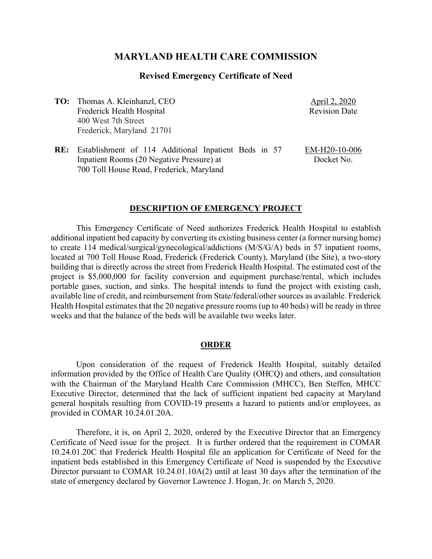# **MARYLAND HEALTH CARE COMMISSION**

## **Revised Emergency Certificate of Need**

**TO:** Thomas A. Kleinhanzl, CEO Frederick Health Hospital 400 West 7th Street Frederick, Maryland 21701

April 2, 2020 Revision Date

**RE:** Establishment of 114 Additional Inpatient Beds in 57 Inpatient Rooms (20 Negative Pressure) at 700 Toll House Road, Frederick, Maryland EM-H20-10-006 Docket No.

#### **DESCRIPTION OF EMERGENCY PROJECT**

This Emergency Certificate of Need authorizes Frederick Health Hospital to establish additional inpatient bed capacity by converting its existing business center (a former nursing home) to create 114 medical/surgical/gynecological/addictions (M/S/G/A) beds in 57 inpatient rooms, located at 700 Toll House Road, Frederick (Frederick County), Maryland (the Site), a two-story building that is directly across the street from Frederick Health Hospital. The estimated cost of the project is \$5,000,000 for facility conversion and equipment purchase/rental, which includes portable gases, suction, and sinks. The hospital intends to fund the project with existing cash, available line of credit, and reimbursement from State/federal/other sources as available. Frederick Health Hospital estimates that the 20 negative pressure rooms (up to 40 beds) will be ready in three weeks and that the balance of the beds will be available two weeks later.

### **ORDER**

Upon consideration of the request of Frederick Health Hospital, suitably detailed information provided by the Office of Health Care Quality (OHCQ) and others, and consultation with the Chairman of the Maryland Health Care Commission (MHCC), Ben Steffen, MHCC Executive Director, determined that the lack of sufficient inpatient bed capacity at Maryland general hospitals resulting from COVID-19 presents a hazard to patients and/or employees, as provided in COMAR 10.24.01.20A.

Therefore, it is, on April 2, 2020, ordered by the Executive Director that an Emergency Certificate of Need issue for the project. It is further ordered that the requirement in COMAR 10.24.01.20C that Frederick Health Hospital file an application for Certificate of Need for the inpatient beds established in this Emergency Certificate of Need is suspended by the Executive Director pursuant to COMAR 10.24.01.10A(2) until at least 30 days after the termination of the state of emergency declared by Governor Lawrence J. Hogan, Jr. on March 5, 2020.